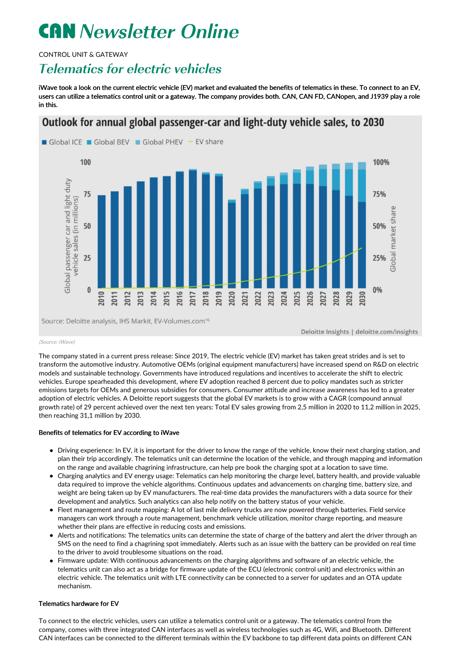# **CAN** Newsletter Online

CONTROL UNIT & GATEWAY

## Telematics for electric vehicles

iWave took a look on the current electric vehicle (EV) market and evaluated the benefits of telematics in these. To connect to an EV, users can utilize a telematics control unit or a gateway. The company provides both. CAN, CAN FD, CANopen, and J1939 play a role in this.

### Outlook for annual global passenger-car and light-duty vehicle sales, to 2030



#### (Source: iWave)

The company stated in a current press release: Since 2019, The electric vehicle (EV) market has taken great strides and is set to transform the automotive industry. Automotive OEMs (original equipment manufacturers) have increased spend on R&D on electric models and sustainable technology. Governments have introduced regulations and incentives to accelerate the shift to electric vehicles. Europe spearheaded this development, where EV adoption reached 8 percent due to policy mandates such as stricter emissions targets for OEMs and generous subsidies for consumers. Consumer attitude and increase awareness has led to a greater adoption of electric vehicles. A Deloitte report suggests that the global EV markets is to grow with a CAGR (compound annual growth rate) of 29 percent achieved over the next ten years: Total EV sales growing from 2,5 million in 2020 to 11,2 million in 2025, then reaching 31,1 million by 2030.

#### Benefits of telematics for EV according to iWave

- Driving experience: In EV, it is important for the driver to know the range of the vehicle, know their next charging station, and plan their trip accordingly. The telematics unit can determine the location of the vehicle, and through mapping and information on the range and available chagrining infrastructure, can help pre book the charging spot at a location to save time.
- Charging analytics and EV energy usage: Telematics can help monitoring the charge level, battery health, and provide valuable data required to improve the vehicle algorithms. Continuous updates and advancements on charging time, battery size, and weight are being taken up by EV manufacturers. The real-time data provides the manufacturers with a data source for their development and analytics. Such analytics can also help notify on the battery status of your vehicle.
- Fleet management and route mapping: A lot of last mile delivery trucks are now powered through batteries. Field service managers can work through a route management, benchmark vehicle utilization, monitor charge reporting, and measure whether their plans are effective in reducing costs and emissions.
- Alerts and notifications: The telematics units can determine the state of charge of the battery and alert the driver through an SMS on the need to find a chagrining spot immediately. Alerts such as an issue with the battery can be provided on real time to the driver to avoid troublesome situations on the road.
- Firmware update: With continuous advancements on the charging algorithms and software of an electric vehicle, the telematics unit can also act as a bridge for firmware update of the ECU (electronic control unit) and electronics within an electric vehicle. The telematics unit with LTE connectivity can be connected to a server for updates and an OTA update mechanism.

#### Telematics hardware for EV

To connect to the electric vehicles, users can utilize a telematics control unit or a gateway. The telematics control from the company, comes with three integrated CAN interfaces as well as wireless technologies such as 4G, Wifi, and Bluetooth. Different CAN interfaces can be connected to the different terminals within the EV backbone to tap different data points on different CAN